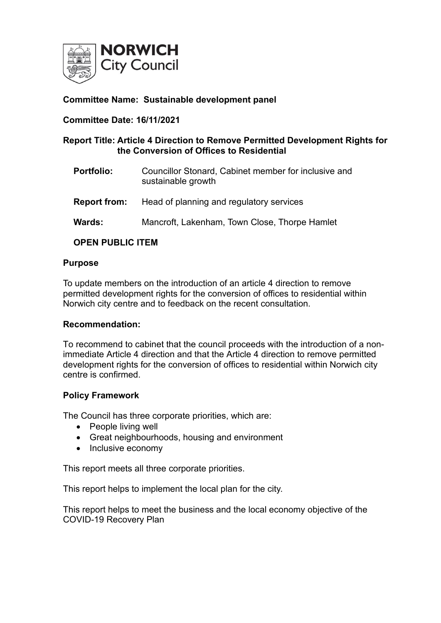

## **Committee Name: Sustainable development panel**

#### **Committee Date: 16/11/2021**

## **Report Title: Article 4 Direction to Remove Permitted Development Rights for the Conversion of Offices to Residential**

- **Portfolio:** Councillor Stonard, Cabinet member for inclusive and sustainable growth
- **Report from:** Head of planning and regulatory services
- **Wards:** Mancroft, Lakenham, Town Close, Thorpe Hamlet

## **OPEN PUBLIC ITEM**

#### **Purpose**

To update members on the introduction of an article 4 direction to remove permitted development rights for the conversion of offices to residential within Norwich city centre and to feedback on the recent consultation.

#### **Recommendation:**

To recommend to cabinet that the council proceeds with the introduction of a nonimmediate Article 4 direction and that the Article 4 direction to remove permitted development rights for the conversion of offices to residential within Norwich city centre is confirmed.

#### **Policy Framework**

The Council has three corporate priorities, which are:

- People living well
- Great neighbourhoods, housing and environment
- Inclusive economy

This report meets all three corporate priorities.

This report helps to implement the local plan for the city.

This report helps to meet the business and the local economy objective of the COVID-19 Recovery Plan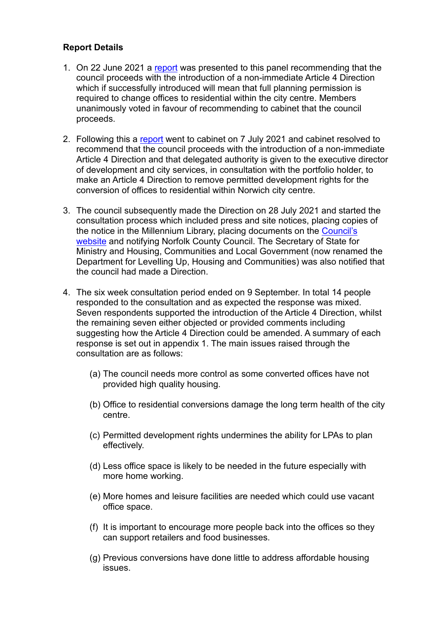## **Report Details**

- 1. On 22 June 2021 a [report](https://cmis.norwich.gov.uk/Live/Document.ashx?czJKcaeAi5tUFL1DTL2UE4zNRBcoShgo=dmoJtP9xADwg%2b28k2AKjxHcf0mk7frIsxw2rYHowibvNB%2bPBnEDD5A%3d%3d&rUzwRPf%2bZ3zd4E7Ikn8Lyw%3d%3d=pwRE6AGJFLDNlh225F5QMaQWCtPHwdhUfCZ%2fLUQzgA2uL5jNRG4jdQ%3d%3d&mCTIbCubSFfXsDGW9IXnlg%3d%3d=hFflUdN3100%3d&kCx1AnS9%2fpWZQ40DXFvdEw%3d%3d=hFflUdN3100%3d&uJovDxwdjMPoYv%2bAJvYtyA%3d%3d=ctNJFf55vVA%3d&FgPlIEJYlotS%2bYGoBi5olA%3d%3d=NHdURQburHA%3d&d9Qjj0ag1Pd993jsyOJqFvmyB7X0CSQK=ctNJFf55vVA%3d&WGewmoAfeNR9xqBux0r1Q8Za60lavYmz=ctNJFf55vVA%3d&WGewmoAfeNQ16B2MHuCpMRKZMwaG1PaO=ctNJFf55vVA%3d) was presented to this panel recommending that the council proceeds with the introduction of a non-immediate Article 4 Direction which if successfully introduced will mean that full planning permission is required to change offices to residential within the city centre. Members unanimously voted in favour of recommending to cabinet that the council proceeds.
- 2. Following this a [report](https://cmis.norwich.gov.uk/Live/Document.ashx?czJKcaeAi5tUFL1DTL2UE4zNRBcoShgo=%2bgPw967u7YaP%2bpAxZAGbZoLAX3szedsjcbrE434VQGDo0n%2bDljh1lA%3d%3d&rUzwRPf%2bZ3zd4E7Ikn8Lyw%3d%3d=pwRE6AGJFLDNlh225F5QMaQWCtPHwdhUfCZ%2fLUQzgA2uL5jNRG4jdQ%3d%3d&mCTIbCubSFfXsDGW9IXnlg%3d%3d=hFflUdN3100%3d&kCx1AnS9%2fpWZQ40DXFvdEw%3d%3d=hFflUdN3100%3d&uJovDxwdjMPoYv%2bAJvYtyA%3d%3d=ctNJFf55vVA%3d&FgPlIEJYlotS%2bYGoBi5olA%3d%3d=NHdURQburHA%3d&d9Qjj0ag1Pd993jsyOJqFvmyB7X0CSQK=ctNJFf55vVA%3d&WGewmoAfeNR9xqBux0r1Q8Za60lavYmz=ctNJFf55vVA%3d&WGewmoAfeNQ16B2MHuCpMRKZMwaG1PaO=ctNJFf55vVA%3d) went to cabinet on 7 July 2021 and cabinet resolved to recommend that the council proceeds with the introduction of a non-immediate Article 4 Direction and that delegated authority is given to the executive director of development and city services, in consultation with the portfolio holder, to make an Article 4 Direction to remove permitted development rights for the conversion of offices to residential within Norwich city centre.
- 3. The council subsequently made the Direction on 28 July 2021 and started the consultation process which included press and site notices, placing copies of the notice in the Millennium Library, placing documents on the [Council's](https://www.norwich.gov.uk/info/20238/current_consultations/3750/article_4_direction_under_consultation)  [website](https://www.norwich.gov.uk/info/20238/current_consultations/3750/article_4_direction_under_consultation) and notifying Norfolk County Council. The Secretary of State for Ministry and Housing, Communities and Local Government (now renamed the Department for Levelling Up, Housing and Communities) was also notified that the council had made a Direction.
- 4. The six week consultation period ended on 9 September. In total 14 people responded to the consultation and as expected the response was mixed. Seven respondents supported the introduction of the Article 4 Direction, whilst the remaining seven either objected or provided comments including suggesting how the Article 4 Direction could be amended. A summary of each response is set out in appendix 1. The main issues raised through the consultation are as follows:
	- (a) The council needs more control as some converted offices have not provided high quality housing.
	- (b) Office to residential conversions damage the long term health of the city centre.
	- (c) Permitted development rights undermines the ability for LPAs to plan effectively.
	- (d) Less office space is likely to be needed in the future especially with more home working.
	- (e) More homes and leisure facilities are needed which could use vacant office space.
	- (f) It is important to encourage more people back into the offices so they can support retailers and food businesses.
	- (g) Previous conversions have done little to address affordable housing issues.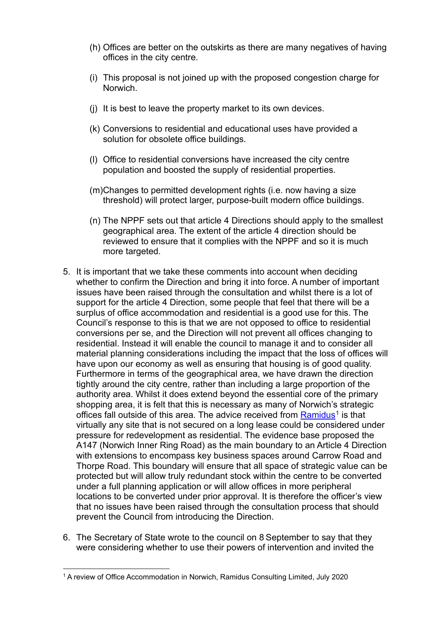- (h) Offices are better on the outskirts as there are many negatives of having offices in the city centre.
- (i) This proposal is not joined up with the proposed congestion charge for Norwich.
- (j) It is best to leave the property market to its own devices.
- (k) Conversions to residential and educational uses have provided a solution for obsolete office buildings.
- (l) Office to residential conversions have increased the city centre population and boosted the supply of residential properties.
- (m)Changes to permitted development rights (i.e. now having a size threshold) will protect larger, purpose-built modern office buildings.
- (n) The NPPF sets out that article 4 Directions should apply to the smallest geographical area. The extent of the article 4 direction should be reviewed to ensure that it complies with the NPPF and so it is much more targeted.
- 5. It is important that we take these comments into account when deciding whether to confirm the Direction and bring it into force. A number of important issues have been raised through the consultation and whilst there is a lot of support for the article 4 Direction, some people that feel that there will be a surplus of office accommodation and residential is a good use for this. The Council's response to this is that we are not opposed to office to residential conversions per se, and the Direction will not prevent all offices changing to residential. Instead it will enable the council to manage it and to consider all material planning considerations including the impact that the loss of offices will have upon our economy as well as ensuring that housing is of good quality. Furthermore in terms of the geographical area, we have drawn the direction tightly around the city centre, rather than including a large proportion of the authority area. Whilst it does extend beyond the essential core of the primary shopping area, it is felt that this is necessary as many of Norwich's strategic offices fall outside of this area. The advice received from [Ramidus](https://cmis.norwich.gov.uk/Live/Document.ashx?czJKcaeAi5tUFL1DTL2UE4zNRBcoShgo=rGWP40kjwqmFdlTTzCKtc6CpPK8vQKKb9lR1xLlTu15%2buTk1AP1wHA%3d%3d&rUzwRPf%2bZ3zd4E7Ikn8Lyw%3d%3d=pwRE6AGJFLDNlh225F5QMaQWCtPHwdhUfCZ%2fLUQzgA2uL5jNRG4jdQ%3d%3d&mCTIbCubSFfXsDGW9IXnlg%3d%3d=hFflUdN3100%3d&kCx1AnS9%2fpWZQ40DXFvdEw%3d%3d=hFflUdN3100%3d&uJovDxwdjMPoYv%2bAJvYtyA%3d%3d=ctNJFf55vVA%3d&FgPlIEJYlotS%2bYGoBi5olA%3d%3d=NHdURQburHA%3d&d9Qjj0ag1Pd993jsyOJqFvmyB7X0CSQK=ctNJFf55vVA%3d&WGewmoAfeNR9xqBux0r1Q8Za60lavYmz=ctNJFf55vVA%3d&WGewmoAfeNQ16B2MHuCpMRKZMwaG1PaO=ctNJFf55vVA%3d)<sup>[1](#page-2-0)</sup> is that virtually any site that is not secured on a long lease could be considered under pressure for redevelopment as residential. The evidence base proposed the A147 (Norwich Inner Ring Road) as the main boundary to an Article 4 Direction with extensions to encompass key business spaces around Carrow Road and Thorpe Road. This boundary will ensure that all space of strategic value can be protected but will allow truly redundant stock within the centre to be converted under a full planning application or will allow offices in more peripheral locations to be converted under prior approval. It is therefore the officer's view that no issues have been raised through the consultation process that should prevent the Council from introducing the Direction.
- 6. The Secretary of State wrote to the council on 8 September to say that they were considering whether to use their powers of intervention and invited the

<span id="page-2-0"></span><sup>1</sup> A review of Office Accommodation in Norwich, Ramidus Consulting Limited, July 2020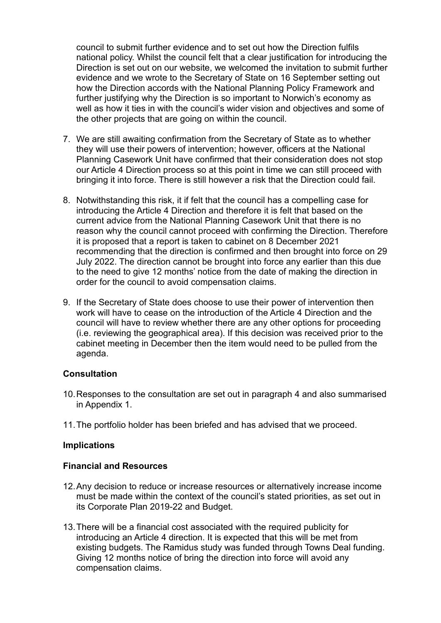council to submit further evidence and to set out how the Direction fulfils national policy. Whilst the council felt that a clear justification for introducing the Direction is set out on our website, we welcomed the invitation to submit further evidence and we wrote to the Secretary of State on 16 September setting out how the Direction accords with the National Planning Policy Framework and further justifying why the Direction is so important to Norwich's economy as well as how it ties in with the council's wider vision and objectives and some of the other projects that are going on within the council.

- 7. We are still awaiting confirmation from the Secretary of State as to whether they will use their powers of intervention; however, officers at the National Planning Casework Unit have confirmed that their consideration does not stop our Article 4 Direction process so at this point in time we can still proceed with bringing it into force. There is still however a risk that the Direction could fail.
- 8. Notwithstanding this risk, it if felt that the council has a compelling case for introducing the Article 4 Direction and therefore it is felt that based on the current advice from the National Planning Casework Unit that there is no reason why the council cannot proceed with confirming the Direction. Therefore it is proposed that a report is taken to cabinet on 8 December 2021 recommending that the direction is confirmed and then brought into force on 29 July 2022. The direction cannot be brought into force any earlier than this due to the need to give 12 months' notice from the date of making the direction in order for the council to avoid compensation claims.
- 9. If the Secretary of State does choose to use their power of intervention then work will have to cease on the introduction of the Article 4 Direction and the council will have to review whether there are any other options for proceeding (i.e. reviewing the geographical area). If this decision was received prior to the cabinet meeting in December then the item would need to be pulled from the agenda.

#### **Consultation**

- 10.Responses to the consultation are set out in paragraph 4 and also summarised in Appendix 1.
- 11.The portfolio holder has been briefed and has advised that we proceed.

#### **Implications**

#### **Financial and Resources**

- 12.Any decision to reduce or increase resources or alternatively increase income must be made within the context of the council's stated priorities, as set out in its Corporate Plan 2019-22 and Budget.
- 13.There will be a financial cost associated with the required publicity for introducing an Article 4 direction. It is expected that this will be met from existing budgets. The Ramidus study was funded through Towns Deal funding. Giving 12 months notice of bring the direction into force will avoid any compensation claims.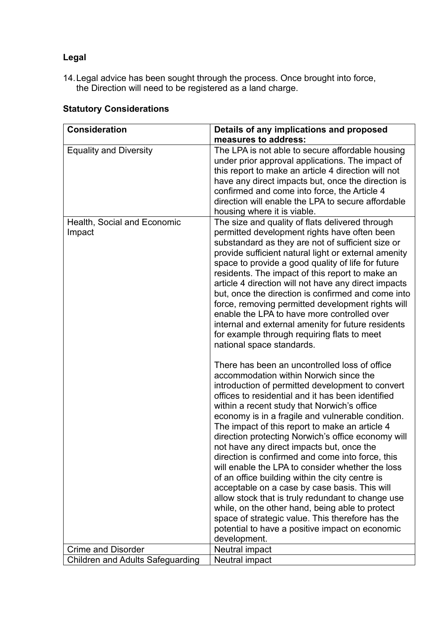# **Legal**

14.Legal advice has been sought through the process. Once brought into force, the Direction will need to be registered as a land charge.

| <b>Consideration</b>                    | Details of any implications and proposed                                                                                                                                                                                                                                                                                                                                                                                                                                                                                                                                                                                                                                                                                                                                                                                                                                                             |
|-----------------------------------------|------------------------------------------------------------------------------------------------------------------------------------------------------------------------------------------------------------------------------------------------------------------------------------------------------------------------------------------------------------------------------------------------------------------------------------------------------------------------------------------------------------------------------------------------------------------------------------------------------------------------------------------------------------------------------------------------------------------------------------------------------------------------------------------------------------------------------------------------------------------------------------------------------|
|                                         | measures to address:                                                                                                                                                                                                                                                                                                                                                                                                                                                                                                                                                                                                                                                                                                                                                                                                                                                                                 |
| <b>Equality and Diversity</b>           | The LPA is not able to secure affordable housing<br>under prior approval applications. The impact of<br>this report to make an article 4 direction will not<br>have any direct impacts but, once the direction is<br>confirmed and come into force, the Article 4<br>direction will enable the LPA to secure affordable<br>housing where it is viable.                                                                                                                                                                                                                                                                                                                                                                                                                                                                                                                                               |
| Health, Social and Economic<br>Impact   | The size and quality of flats delivered through<br>permitted development rights have often been<br>substandard as they are not of sufficient size or<br>provide sufficient natural light or external amenity<br>space to provide a good quality of life for future<br>residents. The impact of this report to make an<br>article 4 direction will not have any direct impacts<br>but, once the direction is confirmed and come into<br>force, removing permitted development rights will<br>enable the LPA to have more controlled over<br>internal and external amenity for future residents<br>for example through requiring flats to meet<br>national space standards.                                                                                                                                                                                                                            |
|                                         | There has been an uncontrolled loss of office<br>accommodation within Norwich since the<br>introduction of permitted development to convert<br>offices to residential and it has been identified<br>within a recent study that Norwich's office<br>economy is in a fragile and vulnerable condition.<br>The impact of this report to make an article 4<br>direction protecting Norwich's office economy will<br>not have any direct impacts but, once the<br>direction is confirmed and come into force, this<br>will enable the LPA to consider whether the loss<br>of an office building within the city centre is<br>acceptable on a case by case basis. This will<br>allow stock that is truly redundant to change use<br>while, on the other hand, being able to protect<br>space of strategic value. This therefore has the<br>potential to have a positive impact on economic<br>development. |
| <b>Crime and Disorder</b>               | Neutral impact                                                                                                                                                                                                                                                                                                                                                                                                                                                                                                                                                                                                                                                                                                                                                                                                                                                                                       |
| <b>Children and Adults Safeguarding</b> | Neutral impact                                                                                                                                                                                                                                                                                                                                                                                                                                                                                                                                                                                                                                                                                                                                                                                                                                                                                       |

## **Statutory Considerations**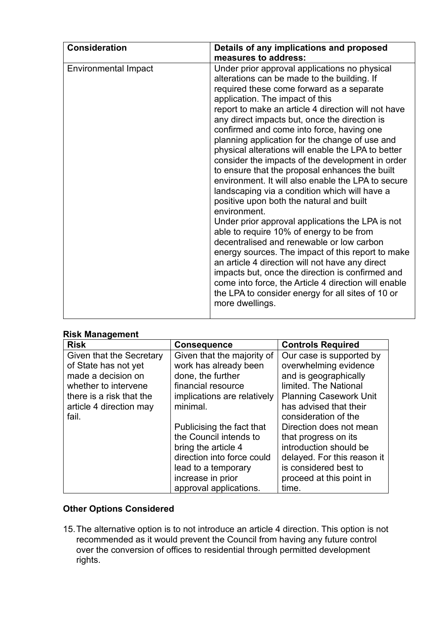| <b>Consideration</b>        | Details of any implications and proposed                                                                                                                                                                                                                                                                                                                                                                                                                                                                                                                                                                                                                                                                                                                                                                                                                                                                                                                                                                                                                                                                                                                    |
|-----------------------------|-------------------------------------------------------------------------------------------------------------------------------------------------------------------------------------------------------------------------------------------------------------------------------------------------------------------------------------------------------------------------------------------------------------------------------------------------------------------------------------------------------------------------------------------------------------------------------------------------------------------------------------------------------------------------------------------------------------------------------------------------------------------------------------------------------------------------------------------------------------------------------------------------------------------------------------------------------------------------------------------------------------------------------------------------------------------------------------------------------------------------------------------------------------|
|                             | measures to address:                                                                                                                                                                                                                                                                                                                                                                                                                                                                                                                                                                                                                                                                                                                                                                                                                                                                                                                                                                                                                                                                                                                                        |
| <b>Environmental Impact</b> | Under prior approval applications no physical<br>alterations can be made to the building. If<br>required these come forward as a separate<br>application. The impact of this<br>report to make an article 4 direction will not have<br>any direct impacts but, once the direction is<br>confirmed and come into force, having one<br>planning application for the change of use and<br>physical alterations will enable the LPA to better<br>consider the impacts of the development in order<br>to ensure that the proposal enhances the built<br>environment. It will also enable the LPA to secure<br>landscaping via a condition which will have a<br>positive upon both the natural and built<br>environment.<br>Under prior approval applications the LPA is not<br>able to require 10% of energy to be from<br>decentralised and renewable or low carbon<br>energy sources. The impact of this report to make<br>an article 4 direction will not have any direct<br>impacts but, once the direction is confirmed and<br>come into force, the Article 4 direction will enable<br>the LPA to consider energy for all sites of 10 or<br>more dwellings. |

#### **Risk Management**

| <b>Risk</b>              | <b>Consequence</b>          | <b>Controls Required</b>      |
|--------------------------|-----------------------------|-------------------------------|
| Given that the Secretary | Given that the majority of  | Our case is supported by      |
| of State has not yet     | work has already been       | overwhelming evidence         |
| made a decision on       | done, the further           | and is geographically         |
| whether to intervene     | financial resource          | limited. The National         |
| there is a risk that the | implications are relatively | <b>Planning Casework Unit</b> |
| article 4 direction may  | minimal.                    | has advised that their        |
| fail.                    |                             | consideration of the          |
|                          | Publicising the fact that   | Direction does not mean       |
|                          | the Council intends to      | that progress on its          |
|                          | bring the article 4         | introduction should be        |
|                          | direction into force could  | delayed. For this reason it   |
|                          | lead to a temporary         | is considered best to         |
|                          | increase in prior           | proceed at this point in      |
|                          | approval applications.      | time.                         |

## **Other Options Considered**

15.The alternative option is to not introduce an article 4 direction. This option is not recommended as it would prevent the Council from having any future control over the conversion of offices to residential through permitted development rights.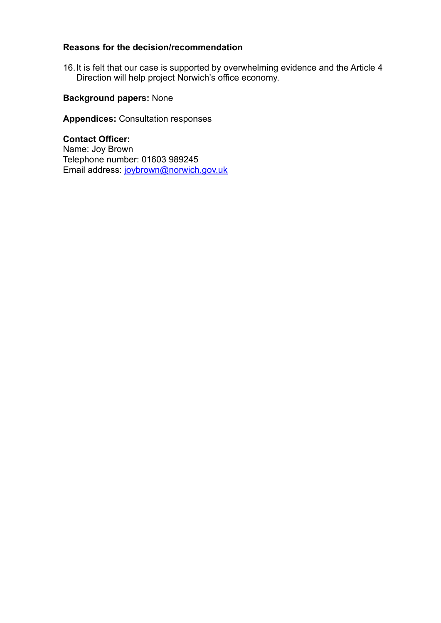## **Reasons for the decision/recommendation**

16.It is felt that our case is supported by overwhelming evidence and the Article 4 Direction will help project Norwich's office economy.

## **Background papers:** None

**Appendices:** Consultation responses

**Contact Officer:** Name: Joy Brown Telephone number: 01603 989245 Email address: [joybrown@norwich.gov.uk](mailto:joybrown@norwich.gov.uk)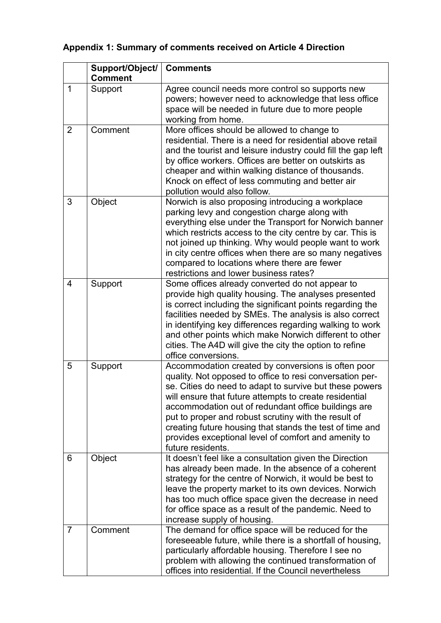# **Appendix 1: Summary of comments received on Article 4 Direction**

|                | Support/Object/ | <b>Comments</b>                                                                                                                                                                                                                                                                                                                                                                                                                                                                             |
|----------------|-----------------|---------------------------------------------------------------------------------------------------------------------------------------------------------------------------------------------------------------------------------------------------------------------------------------------------------------------------------------------------------------------------------------------------------------------------------------------------------------------------------------------|
|                | <b>Comment</b>  |                                                                                                                                                                                                                                                                                                                                                                                                                                                                                             |
| 1              | Support         | Agree council needs more control so supports new<br>powers; however need to acknowledge that less office<br>space will be needed in future due to more people<br>working from home.                                                                                                                                                                                                                                                                                                         |
| 2              | Comment         | More offices should be allowed to change to<br>residential. There is a need for residential above retail<br>and the tourist and leisure industry could fill the gap left<br>by office workers. Offices are better on outskirts as<br>cheaper and within walking distance of thousands.<br>Knock on effect of less commuting and better air<br>pollution would also follow.                                                                                                                  |
| 3              | Object          | Norwich is also proposing introducing a workplace<br>parking levy and congestion charge along with<br>everything else under the Transport for Norwich banner<br>which restricts access to the city centre by car. This is<br>not joined up thinking. Why would people want to work<br>in city centre offices when there are so many negatives<br>compared to locations where there are fewer<br>restrictions and lower business rates?                                                      |
| $\overline{4}$ | Support         | Some offices already converted do not appear to<br>provide high quality housing. The analyses presented<br>is correct including the significant points regarding the<br>facilities needed by SMEs. The analysis is also correct<br>in identifying key differences regarding walking to work<br>and other points which make Norwich different to other<br>cities. The A4D will give the city the option to refine<br>office conversions.                                                     |
| 5              | Support         | Accommodation created by conversions is often poor<br>quality. Not opposed to office to resi conversation per-<br>se. Cities do need to adapt to survive but these powers<br>will ensure that future attempts to create residential<br>accommodation out of redundant office buildings are<br>put to proper and robust scrutiny with the result of<br>creating future housing that stands the test of time and<br>provides exceptional level of comfort and amenity to<br>future residents. |
| 6              | Object          | It doesn't feel like a consultation given the Direction<br>has already been made. In the absence of a coherent<br>strategy for the centre of Norwich, it would be best to<br>leave the property market to its own devices. Norwich<br>has too much office space given the decrease in need<br>for office space as a result of the pandemic. Need to<br>increase supply of housing.                                                                                                          |
| 7              | Comment         | The demand for office space will be reduced for the<br>foreseeable future, while there is a shortfall of housing,<br>particularly affordable housing. Therefore I see no<br>problem with allowing the continued transformation of<br>offices into residential. If the Council nevertheless                                                                                                                                                                                                  |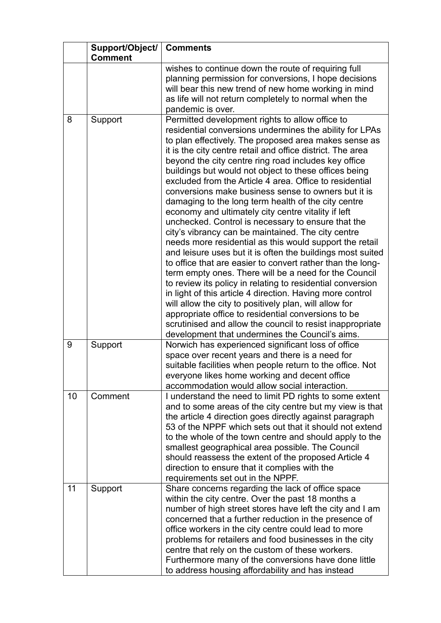|    | Support/Object/<br><b>Comment</b> | <b>Comments</b>                                                                                                                                                                                                                                                                                                                                                                                                                                                                                                                                                                                                                                                                                                                                                                                                                                                                                                                                                                                                                                                                                                                                                                                                                                                                                            |
|----|-----------------------------------|------------------------------------------------------------------------------------------------------------------------------------------------------------------------------------------------------------------------------------------------------------------------------------------------------------------------------------------------------------------------------------------------------------------------------------------------------------------------------------------------------------------------------------------------------------------------------------------------------------------------------------------------------------------------------------------------------------------------------------------------------------------------------------------------------------------------------------------------------------------------------------------------------------------------------------------------------------------------------------------------------------------------------------------------------------------------------------------------------------------------------------------------------------------------------------------------------------------------------------------------------------------------------------------------------------|
|    |                                   | wishes to continue down the route of requiring full<br>planning permission for conversions, I hope decisions<br>will bear this new trend of new home working in mind<br>as life will not return completely to normal when the<br>pandemic is over.                                                                                                                                                                                                                                                                                                                                                                                                                                                                                                                                                                                                                                                                                                                                                                                                                                                                                                                                                                                                                                                         |
| 8  | Support                           | Permitted development rights to allow office to<br>residential conversions undermines the ability for LPAs<br>to plan effectively. The proposed area makes sense as<br>it is the city centre retail and office district. The area<br>beyond the city centre ring road includes key office<br>buildings but would not object to these offices being<br>excluded from the Article 4 area. Office to residential<br>conversions make business sense to owners but it is<br>damaging to the long term health of the city centre<br>economy and ultimately city centre vitality if left<br>unchecked. Control is necessary to ensure that the<br>city's vibrancy can be maintained. The city centre<br>needs more residential as this would support the retail<br>and leisure uses but it is often the buildings most suited<br>to office that are easier to convert rather than the long-<br>term empty ones. There will be a need for the Council<br>to review its policy in relating to residential conversion<br>in light of this article 4 direction. Having more control<br>will allow the city to positively plan, will allow for<br>appropriate office to residential conversions to be<br>scrutinised and allow the council to resist inappropriate<br>development that undermines the Council's aims. |
| 9  | Support                           | Norwich has experienced significant loss of office<br>space over recent years and there is a need for<br>suitable facilities when people return to the office. Not<br>everyone likes home working and decent office<br>accommodation would allow social interaction.                                                                                                                                                                                                                                                                                                                                                                                                                                                                                                                                                                                                                                                                                                                                                                                                                                                                                                                                                                                                                                       |
| 10 | Comment                           | I understand the need to limit PD rights to some extent<br>and to some areas of the city centre but my view is that<br>the article 4 direction goes directly against paragraph<br>53 of the NPPF which sets out that it should not extend<br>to the whole of the town centre and should apply to the<br>smallest geographical area possible. The Council<br>should reassess the extent of the proposed Article 4<br>direction to ensure that it complies with the<br>requirements set out in the NPPF.                                                                                                                                                                                                                                                                                                                                                                                                                                                                                                                                                                                                                                                                                                                                                                                                     |
| 11 | Support                           | Share concerns regarding the lack of office space<br>within the city centre. Over the past 18 months a<br>number of high street stores have left the city and I am<br>concerned that a further reduction in the presence of<br>office workers in the city centre could lead to more<br>problems for retailers and food businesses in the city<br>centre that rely on the custom of these workers.<br>Furthermore many of the conversions have done little<br>to address housing affordability and has instead                                                                                                                                                                                                                                                                                                                                                                                                                                                                                                                                                                                                                                                                                                                                                                                              |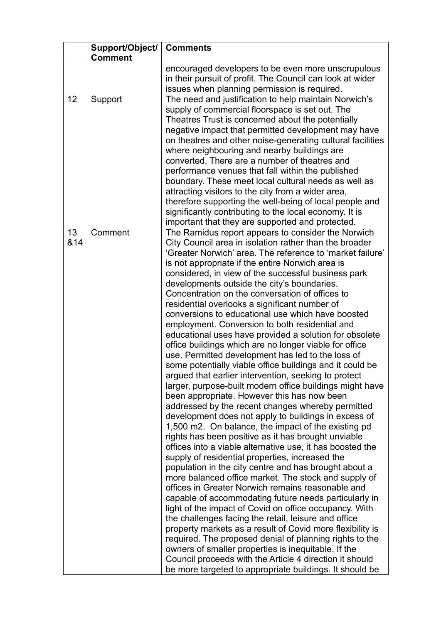|           | Support/Object/<br><b>Comment</b> | <b>Comments</b>                                                                                                                                                                                                                                                                                                                                                                                                                                                                                                                                                                                                                                                                                                                                                                                                                                                                                                                                                                                                                                                                                                                                                                                                                                                                                                                                                                                                                                                                                                                                                                                                                                                                                                                                                                                                                                                                                                                                         |
|-----------|-----------------------------------|---------------------------------------------------------------------------------------------------------------------------------------------------------------------------------------------------------------------------------------------------------------------------------------------------------------------------------------------------------------------------------------------------------------------------------------------------------------------------------------------------------------------------------------------------------------------------------------------------------------------------------------------------------------------------------------------------------------------------------------------------------------------------------------------------------------------------------------------------------------------------------------------------------------------------------------------------------------------------------------------------------------------------------------------------------------------------------------------------------------------------------------------------------------------------------------------------------------------------------------------------------------------------------------------------------------------------------------------------------------------------------------------------------------------------------------------------------------------------------------------------------------------------------------------------------------------------------------------------------------------------------------------------------------------------------------------------------------------------------------------------------------------------------------------------------------------------------------------------------------------------------------------------------------------------------------------------------|
|           |                                   | encouraged developers to be even more unscrupulous<br>in their pursuit of profit. The Council can look at wider<br>issues when planning permission is required.                                                                                                                                                                                                                                                                                                                                                                                                                                                                                                                                                                                                                                                                                                                                                                                                                                                                                                                                                                                                                                                                                                                                                                                                                                                                                                                                                                                                                                                                                                                                                                                                                                                                                                                                                                                         |
| 12        | Support                           | The need and justification to help maintain Norwich's<br>supply of commercial floorspace is set out. The<br>Theatres Trust is concerned about the potentially<br>negative impact that permitted development may have<br>on theatres and other noise-generating cultural facilities<br>where neighbouring and nearby buildings are<br>converted. There are a number of theatres and<br>performance venues that fall within the published<br>boundary. These meet local cultural needs as well as<br>attracting visitors to the city from a wider area,<br>therefore supporting the well-being of local people and<br>significantly contributing to the local economy. It is<br>important that they are supported and protected.                                                                                                                                                                                                                                                                                                                                                                                                                                                                                                                                                                                                                                                                                                                                                                                                                                                                                                                                                                                                                                                                                                                                                                                                                          |
| 13<br>&14 | Comment                           | The Ramidus report appears to consider the Norwich<br>City Council area in isolation rather than the broader<br>'Greater Norwich' area. The reference to 'market failure'<br>is not appropriate if the entire Norwich area is<br>considered, in view of the successful business park<br>developments outside the city's boundaries.<br>Concentration on the conversation of offices to<br>residential overlooks a significant number of<br>conversions to educational use which have boosted<br>employment. Conversion to both residential and<br>educational uses have provided a solution for obsolete<br>office buildings which are no longer viable for office<br>use. Permitted development has led to the loss of<br>some potentially viable office buildings and it could be<br>argued that earlier intervention, seeking to protect<br>larger, purpose-built modern office buildings might have<br>been appropriate. However this has now been<br>addressed by the recent changes whereby permitted<br>development does not apply to buildings in excess of<br>1,500 m2. On balance, the impact of the existing pd<br>rights has been positive as it has brought unviable<br>offices into a viable alternative use, it has boosted the<br>supply of residential properties, increased the<br>population in the city centre and has brought about a<br>more balanced office market. The stock and supply of<br>offices in Greater Norwich remains reasonable and<br>capable of accommodating future needs particularly in<br>light of the impact of Covid on office occupancy. With<br>the challenges facing the retail, leisure and office<br>property markets as a result of Covid more flexibility is<br>required. The proposed denial of planning rights to the<br>owners of smaller properties is inequitable. If the<br>Council proceeds with the Article 4 direction it should<br>be more targeted to appropriate buildings. It should be |